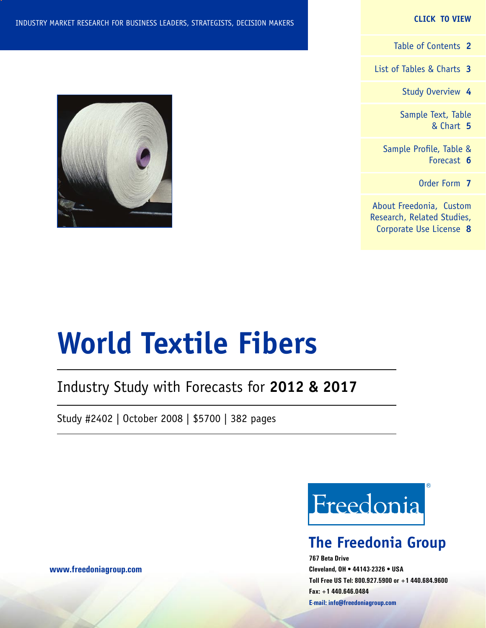#### **CLICK TO VIEW**

[Table of Contents](#page-1-0) **2**

[List of Tables & Charts](#page-2-0) **3**

[Study Overview](#page-3-0) **4**

[Sample Text, Table](#page-4-0) [& Chart](#page-4-0) **5**

[Sample Profile, Table &](#page-5-0) [Forecast](#page-5-0) **6**

[Order Form](#page-6-0) **7**

[About Freedonia, Custom](#page-7-0) [Research, Related Studies,](#page-7-0) [Corporate Use License](#page-7-0) **8**



# **World Textile Fibers**

### Industry Study with Forecasts for **2012 & 2017**

Study #2402 | October 2008 | \$5700 | 382 pages



### **The Freedonia Group**

**767 Beta Drive Cleveland, OH • 44143-2326 • USA Toll Free US Tel: 800.927.5900 or +1 440.684.9600 Fax: +1 440.646.0484 E-mail: [info@freedoniagroup.com](mailto:info@freedoniagroup.com)**

**[www.freedoniagroup.com](http://www.freedoniagroup.com/Home.aspx?ReferrerId=FM-Bro)**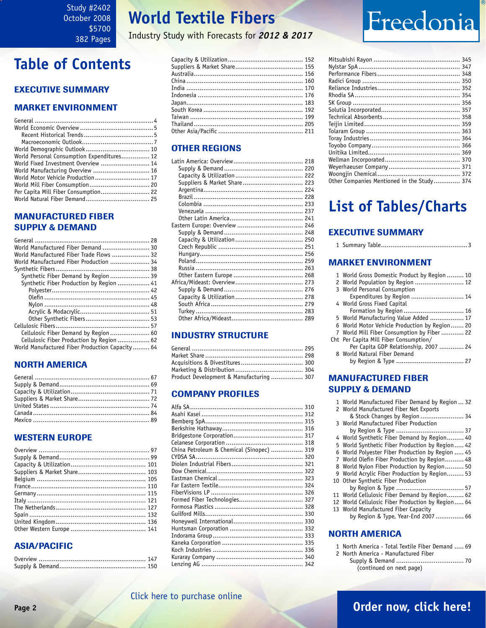### **World Textile Fibers**

Industry Study with Forecasts for *2012 & 2017*

### <span id="page-1-0"></span>**Table of Contents**

### Executive Summary

#### Market EnvironmenT

| World Personal Consumption Expenditures 12 |  |
|--------------------------------------------|--|
| World Fixed Investment Overview  14        |  |
| World Manufacturing Overview  16           |  |
| World Motor Vehicle Production 17          |  |
|                                            |  |
|                                            |  |
|                                            |  |

### MANUFACTURED FIBER SUPPLY & DEMAND

| World Manufactured Fiber Demand  30             |  |
|-------------------------------------------------|--|
| World Manufactured Fiber Trade Flows  32        |  |
| World Manufactured Fiber Production  34         |  |
|                                                 |  |
| Synthetic Fiber Demand by Region  39            |  |
| Synthetic Fiber Production by Region  41        |  |
|                                                 |  |
|                                                 |  |
|                                                 |  |
|                                                 |  |
|                                                 |  |
|                                                 |  |
| Cellulosic Fiber Demand by Region 60            |  |
| Cellulosic Fiber Production by Region  62       |  |
| World Manufactured Fiber Production Capacity 64 |  |
|                                                 |  |

### NORTH AMERICA

### WESTERN EUROPE

### ASIA/PACIFIC

### OTHER REGIONS

| Suppliers & Market Share 223 |  |
|------------------------------|--|
|                              |  |
|                              |  |
|                              |  |
|                              |  |
|                              |  |
|                              |  |
|                              |  |
|                              |  |
|                              |  |
|                              |  |
|                              |  |
|                              |  |
|                              |  |
|                              |  |
|                              |  |
|                              |  |
|                              |  |
|                              |  |
|                              |  |
|                              |  |

### INDUSTRY STRUCTURE

| Product Development & Manufacturing  307 |  |
|------------------------------------------|--|

### Company Profiles

| China Petroleum & Chemical (Sinopec)  319 |  |
|-------------------------------------------|--|
|                                           |  |
|                                           |  |
|                                           |  |
|                                           |  |
|                                           |  |
|                                           |  |
|                                           |  |
|                                           |  |
|                                           |  |
|                                           |  |
|                                           |  |
|                                           |  |
|                                           |  |
|                                           |  |
|                                           |  |
|                                           |  |
|                                           |  |
|                                           |  |

| Other Companies Mentioned in the Study 374 |
|--------------------------------------------|
|                                            |

### **List of Tables/Charts**

### Executive Summary

|--|--|--|--|

### Market EnvironmenT

| 1 World Gross Domestic Product by Region  10  |
|-----------------------------------------------|
| 2 World Population by Region  12              |
| 3 World Personal Consumption                  |
| Expenditures by Region  14                    |
| 4 World Gross Fixed Capital                   |
|                                               |
| 5 World Manufacturing Value Added  17         |
| 6 World Motor Vehicle Production by Region 20 |
| 7 World Mill Fiber Consumption by Fiber  22   |
| Cht Per Capita Mill Fiber Consumption/        |
| Per Capita GDP Relationship, 2007  24         |
| 8 World Natural Fiber Demand                  |
|                                               |
|                                               |

### MANUFACTURED FIBER SUPPLY & DEMAND

| 1 World Manufactured Fiber Demand by Region  32   |
|---------------------------------------------------|
| 2 World Manufactured Fiber Net Exports            |
| & Stock Changes by Region  34                     |
| 3 World Manufactured Fiber Production             |
|                                                   |
| 4 World Synthetic Fiber Demand by Region 40       |
| 5 World Synthetic Fiber Production by Region 42   |
| 6 World Polyester Fiber Production by Region  45  |
| 7 World Olefin Fiber Production by Region 48      |
| 8 World Nylon Fiber Production by Region 50       |
| 9 World Acrylic Fiber Production by Region 53     |
| 10 Other Synthetic Fiber Production               |
|                                                   |
| 11 World Cellulosic Fiber Demand by Region 62     |
| 12 World Cellulosic Fiber Production by Region 64 |
| 13 World Manufactured Fiber Capacity              |
| by Region & Type, Year-End 2007  66               |
|                                                   |
| <b>NORTH AMERICA</b>                              |
|                                                   |

| 1 North America - Total Textile Fiber Demand  69 |  |
|--------------------------------------------------|--|
| 2 North America - Manufactured Fiber             |  |
|                                                  |  |

(continued on next page)

### [Click here to purchase online](http://www.freedoniagroup.com/DocumentDetails.aspx?Referrerid=FM-Bro&StudyID=2402)

### **Page 2 [Order now, click here!](#page-6-0)**

# Freedonia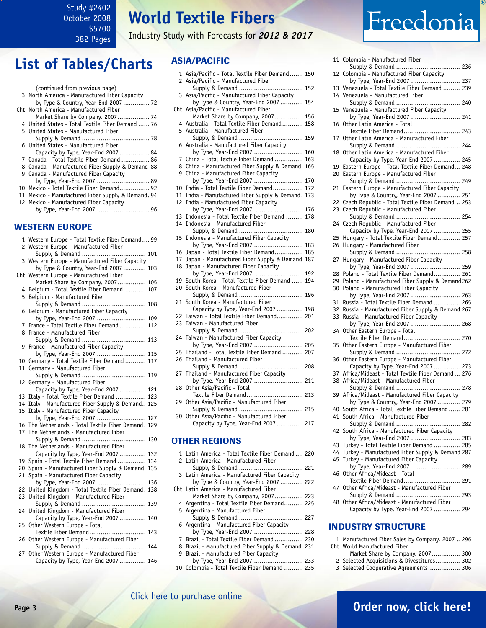Study #2402 October 2008 \$5700 382 Pages

**World Textile Fibers**

Industry Study with Forecasts for *2012 & 2017*

### <span id="page-2-0"></span>**List of Tables/Charts**

| (continued from previous page)<br>3 North America - Manufactured Fiber Capacity<br>by Type & Country, Year-End 2007  72 |
|-------------------------------------------------------------------------------------------------------------------------|
| Cht North America - Manufactured Fiber                                                                                  |
| Market Share by Company, 2007 74                                                                                        |
| 4 United States - Total Textile Fiber Demand  76                                                                        |
| 5 United States - Manufactured Fiber                                                                                    |
|                                                                                                                         |
| 6 United States - Manufactured Fiber                                                                                    |
| Capacity by Type, Year-End 2007 84                                                                                      |
| 7 Canada - Total Textile Fiber Demand  86                                                                               |
| 8 Canada - Manufactured Fiber Supply & Demand 88                                                                        |
| 9 Canada - Manufactured Fiber Capacity                                                                                  |
| by Type, Year-End 2007  89                                                                                              |
| 10 Mexico - Total Textile Fiber Demand 92                                                                               |
| 11 Mexico - Manufactured Fiber Supply & Demand. 94                                                                      |
| 12 Mexico - Manufactured Fiber Capacity                                                                                 |
|                                                                                                                         |

#### WESTERN EUROPE

|     | 1 Western Europe - Total Textile Fiber Demand 99                      |
|-----|-----------------------------------------------------------------------|
|     | 2 Western Europe - Manufactured Fiber                                 |
|     | Supply & Demand  101                                                  |
| 3   | Western Europe - Manufactured Fiber Capacity                          |
|     | by Type & Country, Year-End 2007  103                                 |
| Cht | Western Europe - Manufactured Fiber                                   |
|     | Market Share by Company, 2007 105                                     |
| 4   | Belgium - Total Textile Fiber Demand 107                              |
| 5   | Belgium - Manufactured Fiber                                          |
|     |                                                                       |
| 6   | Belgium - Manufactured Fiber Capacity                                 |
|     | by Type, Year-End 2007  109                                           |
| 7   | France - Total Textile Fiber Demand  112                              |
| 8   | France - Manufactured Fiber                                           |
|     | Supply & Demand  113                                                  |
| 9   | France - Manufactured Fiber Capacity                                  |
|     | by Type, Year-End 2007  115                                           |
| 10  | Germany - Total Textile Fiber Demand  117                             |
| 11  | Germany - Manufactured Fiber                                          |
|     | Supply & Demand  119                                                  |
| 12  | Germany - Manufactured Fiber                                          |
|     | Capacity by Type, Year-End 2007  121                                  |
| 13  | Italy - Total Textile Fiber Demand  123                               |
| 14  | Italy - Manufactured Fiber Supply & Demand 125                        |
| 15  | Italy - Manufactured Fiber Capacity                                   |
|     | by Type, Year-End 2007  127                                           |
| 16  | The Netherlands - Total Textile Fiber Demand. 129                     |
| 17  | The Netherlands - Manufactured Fiber                                  |
|     | Supply & Demand  130                                                  |
| 18  | The Netherlands - Manufactured Fiber                                  |
|     | Capacity by Type, Year-End 2007  132                                  |
| 19  | Spain - Total Textile Fiber Demand  134                               |
| 20  | Spain - Manufactured Fiber Supply & Demand 135                        |
| 21  | Spain - Manufactured Fiber Capacity                                   |
|     | by Type, Year-End 2007  136                                           |
| 22  | United Kingdom - Total Textile Fiber Demand. 138                      |
| 23  | United Kingdom - Manufactured Fiber                                   |
|     |                                                                       |
| 24  | United Kingdom - Manufactured Fiber                                   |
|     | Capacity by Type, Year-End 2007 140                                   |
| 25  | Other Western Europe - Total                                          |
| 26  | Textile Fiber Demand 143<br>Other Western Europe - Manufactured Fiber |
|     | Supply & Demand  144                                                  |
| 27  | Other Western Europe - Manufactured Fiber                             |
|     | Capacity by Type, Year-End 2007  146                                  |
|     |                                                                       |

### ASIA/PACIFIC

|                | 1 Asia/Pacific - Total Textile Fiber Demand  150                                |  |
|----------------|---------------------------------------------------------------------------------|--|
| $\overline{c}$ | Asia/Pacific - Manufactured Fiber                                               |  |
|                | Supply & Demand  152                                                            |  |
| 3              | Asia/Pacific - Manufactured Fiber Capacity                                      |  |
|                | by Type & Country, Year-End 2007  154                                           |  |
| Cht            | Asia/Pacific - Manufactured Fiber                                               |  |
| 4              | Market Share by Company, 2007 156<br>Australia - Total Textile Fiber Demand 158 |  |
|                | 5 Australia - Manufactured Fiber                                                |  |
|                | Supply & Demand  159                                                            |  |
| 6              | Australia - Manufactured Fiber Capacity                                         |  |
|                | by Type, Year-End 2007  160                                                     |  |
| 7              | China - Total Textile Fiber Demand  163                                         |  |
| 8              | China - Manufactured Fiber Supply & Demand 165                                  |  |
| 9              | China - Manufactured Fiber Capacity                                             |  |
|                | by Type, Year-End 2007  170                                                     |  |
| 10             | India - Total Textile Fiber Demand 172                                          |  |
| 11             | India - Manufactured Fiber Supply & Demand. 173                                 |  |
| 12             | India - Manufactured Fiber Capacity                                             |  |
|                | by Type, Year-End 2007  176                                                     |  |
| 13             | Indonesia - Total Textile Fiber Demand  178                                     |  |
| 14             | Indonesia - Manufactured Fiber                                                  |  |
|                | Supply & Demand  180                                                            |  |
| 15             | Indonesia - Manufactured Fiber Capacity                                         |  |
|                | by Type, Year-End 2007  183                                                     |  |
| 16             | Japan - Total Textile Fiber Demand 185                                          |  |
| 17             | Japan - Manufactured Fiber Supply & Demand 187                                  |  |
| 18             | Japan - Manufactured Fiber Capacity<br>by Type, Year-End 2007  192              |  |
| 19             | South Korea - Total Textile Fiber Demand  194                                   |  |
| 20             | South Korea - Manufactured Fiber                                                |  |
|                | Supply & Demand  196                                                            |  |
| 21             | South Korea - Manufactured Fiber                                                |  |
|                | Capacity by Type, Year-End 2007  198                                            |  |
| 22             | Taiwan - Total Textile Fiber Demand 201                                         |  |
| 23             | Taiwan - Manufactured Fiber                                                     |  |
|                | Supply & Demand  202                                                            |  |
| 24             | Taiwan - Manufactured Fiber Capacity                                            |  |
|                | by Type, Year-End 2007  205                                                     |  |
| 25             | Thailand - Total Textile Fiber Demand  207                                      |  |
| 26             | Thailand - Manufactured Fiber                                                   |  |
|                | Supply & Demand  208                                                            |  |
| 27             | Thailand - Manufactured Fiber Capacity                                          |  |
|                | by Type, Year-End 2007  211                                                     |  |
| 28             | Other Asia/Pacific - Total                                                      |  |
|                | Textile Fiber Demand 213                                                        |  |
| 29             | Other Asia/Pacific - Manufactured Fiber                                         |  |
| 30             | Supply & Demand  215<br>Other Asia/Pacific - Manufactured Fiber                 |  |
|                | Capacity by Type, Year-End 2007  217                                            |  |
|                |                                                                                 |  |
|                |                                                                                 |  |
| OП             | <b>THER REGIONS</b>                                                             |  |
| 1              | Latin America - Total Textile Fiber Demand  220                                 |  |
| 2              | Latin America - Manufactured Fiber                                              |  |
|                |                                                                                 |  |
| 3              | Latin America - Manufactured Fiber Capacity                                     |  |
|                | by Type & Country, Year-End 2007  222                                           |  |
| Cht            | Latin America - Manufactured Fiber                                              |  |
|                | Market Share by Company, 2007 223                                               |  |
| 4              | Argentina - Total Textile Fiber Demand 225                                      |  |
| 5              | Argentina - Manufactured Fiber                                                  |  |

 Supply & Demand .................................. 227 6 Argentina - Manufactured Fiber Capacity by Type, Year-End 2007 .............................. 228

- 7 Brazil Total Textile Fiber Demand ............... 230
- 8 Brazil Manufactured Fiber Supply & Demand 231
- 9 Brazil Manufactured Fiber Capacity by Type, Year-End 2007 .......................... 233
- 10 Colombia Total Textile Fiber Demand .......... 235

Freedonia

| 11 | Colombia - Manufactured Fiber                    |
|----|--------------------------------------------------|
|    |                                                  |
| 12 | Colombia - Manufactured Fiber Capacity           |
|    |                                                  |
|    | by Type, Year-End 2007  237                      |
| 13 | Venezuela - Total Textile Fiber Demand  239      |
| 14 | Venezuela - Manufactured Fiber                   |
|    | Supply & Demand  240                             |
|    |                                                  |
| 15 | Venezuela - Manufactured Fiber Capacity          |
|    | by Type, Year-End 2007  241                      |
| 16 | Other Latin America - Total                      |
|    |                                                  |
|    | Textile Fiber Demand 243                         |
| 17 | Other Latin America - Manufactured Fiber         |
|    | Supply & Demand  244                             |
|    |                                                  |
| 18 | Other Latin America - Manufactured Fiber         |
|    | Capacity by Type, Year-End 2007  245             |
| 19 | Eastern Europe - Total Textile Fiber Demand 248  |
|    |                                                  |
| 20 | Eastern Europe - Manufactured Fiber              |
|    |                                                  |
| 21 | Eastern Europe - Manufactured Fiber Capacity     |
|    | by Type & Country, Year-End 2007  251            |
|    |                                                  |
| 22 | Czech Republic - Total Textile Fiber Demand  253 |
| 23 | Czech Republic - Manufactured Fiber              |
|    | Supply & Demand  254                             |
|    |                                                  |
| 24 | Czech Republic - Manufactured Fiber              |
|    | Capacity by Type, Year-End 2007  255             |
| 25 | Hungary - Total Textile Fiber Demand 257         |
| 26 | Hungary - Manufactured Fiber                     |
|    |                                                  |
|    |                                                  |
| 27 | Hungary - Manufactured Fiber Capacity            |
|    | by Type, Year-End 2007  259                      |
|    |                                                  |
| 28 | Poland - Total Textile Fiber Demand 261          |
| 29 | Poland - Manufactured Fiber Supply & Demand 262  |
| 30 | Poland - Manufactured Fiber Capacity             |
|    |                                                  |
|    | by Type, Year-End 2007  263                      |
| 31 | Russia - Total Textile Fiber Demand  265         |
| 32 | Russia - Manufactured Fiber Supply & Demand 267  |
| 33 | Russia - Manufactured Fiber Capacity             |
|    |                                                  |
|    | by Type, Year-End 2007  268                      |
| 34 | Other Eastern Europe - Total                     |
|    | Textile Fiber Demand 270                         |
|    |                                                  |
| 35 | Other Eastern Europe - Manufactured Fiber        |
|    | Supply & Demand  272                             |
| 36 | Other Eastern Europe - Manufactured Fiber        |
|    | Capacity by Type, Year-End 2007  273             |
|    |                                                  |
| 37 | Africa/Mideast - Total Textile Fiber Demand  276 |
| 38 | Africa/Mideast - Manufactured Fiber              |
|    |                                                  |
|    |                                                  |
| 39 | Africa/Mideast - Manufactured Fiber Capacity     |
|    | by Type & Country, Year-End 2007  279            |
| 40 | South Africa - Total Textile Fiber Demand 281    |
| 41 | South Africa - Manufactured Fiber                |
|    |                                                  |
|    |                                                  |
| 42 | South Africa - Manufactured Fiber Capacity       |
|    | by Type, Year-End 2007  283                      |
|    |                                                  |
| 43 | Turkey - Total Textile Fiber Demand  285         |
| 44 | Turkey - Manufactured Fiber Supply & Demand 287  |
| 45 | Turkey - Manufactured Fiber Capacity             |
|    | by Type, Year-End 2007  289                      |
|    |                                                  |
| 46 | Other Africa/Mideast - Total                     |
|    |                                                  |
|    | Textile Fiber Demand 291                         |
|    |                                                  |
| 47 | Other Africa/Mideast - Manufactured Fiber        |
|    |                                                  |
| 48 | Other Africa/Mideast - Manufactured Fiber        |
|    |                                                  |
|    | Capacity by Type, Year-End 2007  294             |

#### INDUSTRY STRUCTURE

- 1 Manufactured Fiber Sales by Company, 2007 .. 296 Cht World Manufactured Fiber
	- Market Share by Company, 2007............... 300 2 Selected Acquisitions & Divestitures............. 302
- 
- 3 Selected Cooperative Agreements................. 306

[Click here to purchase online](http://www.freedoniagroup.com/DocumentDetails.aspx?Referrerid=FM-Bro&StudyID=2402)

**Page 3 [Order now, click here!](#page-6-0)**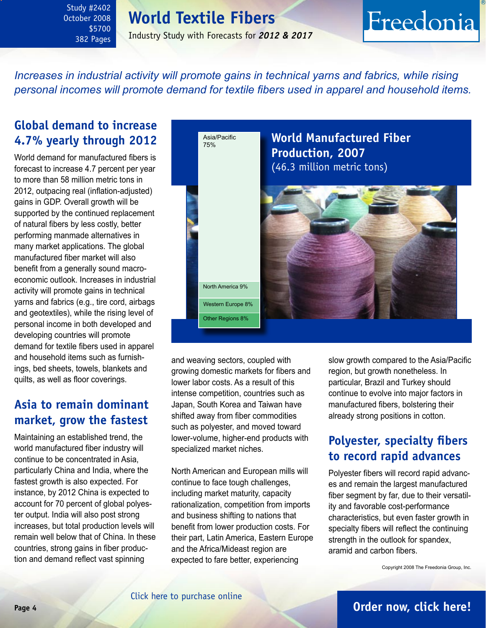### <span id="page-3-0"></span>Study #2402 October 2008 \$5700 382 Pages

### **World Textile Fibers**

Industry Study with Forecasts for *2012 & 2017*

## Freedonia

*Increases in industrial activity will promote gains in technical yarns and fabrics, while rising personal incomes will promote demand for textile fibers used in apparel and household items.*

### **Global demand to increase 4.7% yearly through 2012**

World demand for manufactured fibers is forecast to increase 4.7 percent per year to more than 58 million metric tons in 2012, outpacing real (inflation-adjusted) gains in GDP. Overall growth will be supported by the continued replacement of natural fibers by less costly, better performing manmade alternatives in many market applications. The global manufactured fiber market will also benefit from a generally sound macroeconomic outlook. Increases in industrial activity will promote gains in technical yarns and fabrics (e.g., tire cord, airbags and geotextiles), while the rising level of personal income in both developed and developing countries will promote demand for textile fibers used in apparel and household items such as furnishings, bed sheets, towels, blankets and quilts, as well as floor coverings.

### **Asia to remain dominant market, grow the fastest**

Maintaining an established trend, the world manufactured fiber industry will continue to be concentrated in Asia, particularly China and India, where the fastest growth is also expected. For instance, by 2012 China is expected to account for 70 percent of global polyester output. India will also post strong increases, but total production levels will remain well below that of China. In these countries, strong gains in fiber production and demand reflect vast spinning



and weaving sectors, coupled with growing domestic markets for fibers and lower labor costs. As a result of this intense competition, countries such as Japan, South Korea and Taiwan have shifted away from fiber commodities such as polyester, and moved toward lower-volume, higher-end products with specialized market niches.

North American and European mills will continue to face tough challenges, including market maturity, capacity rationalization, competition from imports and business shifting to nations that benefit from lower production costs. For their part, Latin America, Eastern Europe and the Africa/Mideast region are expected to fare better, experiencing

slow growth compared to the Asia/Pacific region, but growth nonetheless. In particular, Brazil and Turkey should continue to evolve into major factors in manufactured fibers, bolstering their already strong positions in cotton.

### **Polyester, specialty fibers to record rapid advances**

Polyester fibers will record rapid advances and remain the largest manufactured fiber segment by far, due to their versatility and favorable cost-performance characteristics, but even faster growth in specialty fibers will reflect the continuing strength in the outlook for spandex, aramid and carbon fibers.

Copyright 2008 The Freedonia Group, Inc.

### **Page 4 [Order now, click here!](#page-6-0)**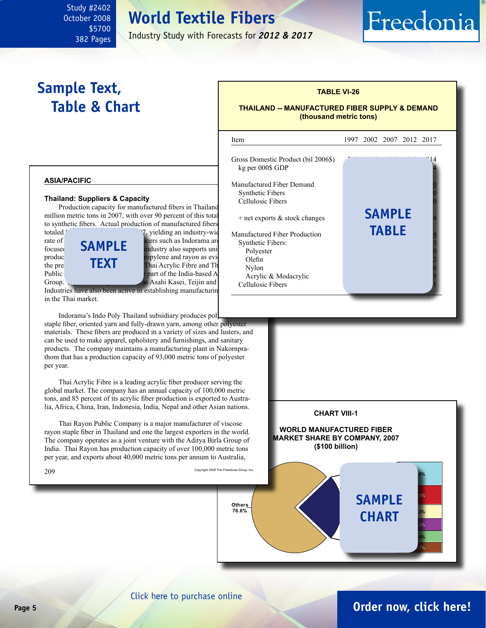### **World Textile Fibers**

Industry Study with Forecasts for *2012 & 2017*

### **Sample Text, Table & Chart**

<span id="page-4-0"></span>Study #2402 October 2008

> \$5700 382 Pages

#### **TABLE VI-26**

#### **THAILAND -- MANUFACTURED FIBER SUPPLY & DEMAND (thousand metric tons)**

l

Freedonia

**asia/pacific**

#### **Thailand: Suppliers & Capacity**

Production capacity for manufactured fibers in Thailand million metric tons in  $2007$ , with over 90 percent of this total to synthetic fibers. Actual production of manufactured fibers



Industries have also been active in establishing manufacturing in the Thai market.

Indorama's Indo Poly Thailand subsidiary produces polstaple fiber, oriented yarn and fully-drawn yarn, among other polyester materials. These fibers are produced in a variety of sizes and lusters, and can be used to make apparel, upholstery and furnishings, and sanitary products. The company maintains a manufacturing plant in Nakornprathom that has a production capacity of 93,000 metric tons of polyester per year.

 Thai Acrylic Fibre is a leading acrylic fiber producer serving the global market. The company has an annual capacity of 100,000 metric tons, and 85 percent of its acrylic fiber production is exported to Australia, Africa, China, Iran, Indonesia, India, Nepal and other Asian nations.

 Thai Rayon Public Company is a major manufacturer of viscose rayon staple fiber in Thailand and one the largest exporters in the world. The company operates as a joint venture with the Aditya Birla Group of India. Thai Rayon has production capacity of over 100,000 metric tons per year, and exports about 40,000 metric tons per annum to Australia,

 $209\,$  Copyright 2008 The Freedonia Group, Inc.





[Click here to purchase online](http://www.freedoniagroup.com/DocumentDetails.aspx?Referrerid=FM-Bro&StudyID=2402)

**Others 76.6%**

### **Page 5 [Order now, click here!](#page-6-0)**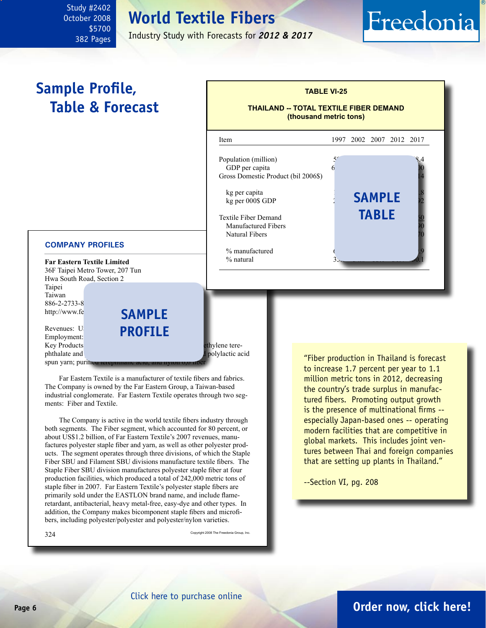### **World Textile Fibers**

Industry Study with Forecasts for *2012 & 2017*

# **Sample Profile,**

<span id="page-5-0"></span>Study #2402 October 2008

> \$5700 382 Pages



 Far Eastern Textile is a manufacturer of textile fibers and fabrics. The Company is owned by the Far Eastern Group, a Taiwan-based industrial conglomerate. Far Eastern Textile operates through two segments: Fiber and Textile.

 The Company is active in the world textile fibers industry through both segments. The Fiber segment, which accounted for 80 percent, or about US\$1.2 billion, of Far Eastern Textile's 2007 revenues, manufactures polyester staple fiber and yarn, as well as other polyester products. The segment operates through three divisions, of which the Staple Fiber SBU and Filament SBU divisions manufacture textile fibers. The Staple Fiber SBU division manufactures polyester staple fiber at four production facilities, which produced a total of 242,000 metric tons of staple fiber in 2007. Far Eastern Textile's polyester staple fibers are primarily sold under the EASTLON brand name, and include flameretardant, antibacterial, heavy metal-free, easy-dye and other types. In addition, the Company makes bicomponent staple fibers and microfibers, including polyester/polyester and polyester/nylon varieties.

spun yarn; purine

 $324$   $^{\circ}$  Copyright 2008 The Freedonia Group, Inc.

"Fiber production in Thailand is forecast to increase 1.7 percent per year to 1.1 million metric tons in 2012, decreasing the country's trade surplus in manufactured fibers. Promoting output growth is the presence of multinational firms - especially Japan-based ones -- operating modern facilities that are competitive in global markets. This includes joint ventures between Thai and foreign companies that are setting up plants in Thailand."

Freedonia

--Section VI, pg. 208

### **Page 6 [Order now, click here!](#page-6-0)**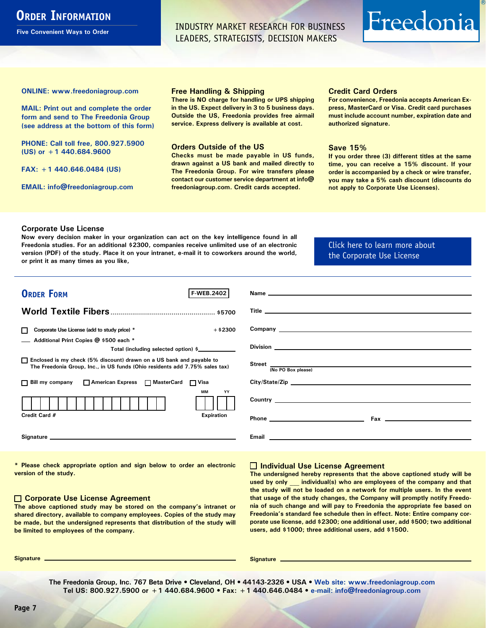### <span id="page-6-0"></span>**ORDER INFORMATION**

**Five Convenient Ways to Order**

INDUSTRY MARKET RESEARCH FOR BUSINESS LEADERS, STRATEGISTS, DECISION MAKERS

# Freedonia

**ONLINE: [www.freedoniagroup.com](http://www.freedoniagroup.com/DocumentDetails.aspx?Referrerid=FM-Bro&StudyID=2402)**

**MAIL: Print out and complete the order form and send to The Freedonia Group (see address at the bottom of this form)**

**PHONE: Call toll free, 800.927.5900 (US) or +1 440.684.9600**

**FAX: +1 440.646.0484 (US)**

**EMAIL: [info@freedoniagroup.com](mailto:info@freedoniagroup.com)**

#### **Free Handling & Shipping**

**There is NO charge for handling or UPS shipping in the US. Expect delivery in 3 to 5 business days. Outside the US, Freedonia provides free airmail service. Express delivery is available at cost.**

#### **Orders Outside of the US**

**Checks must be made payable in US funds, drawn against a US bank and mailed directly to The Freedonia Group. For wire transfers please contact our customer service department at info@ freedoniagroup.com. Credit cards accepted.**

#### **Credit Card Orders**

**For convenience, Freedonia accepts American Express, MasterCard or Visa. Credit card purchases must include account number, expiration date and authorized signature.**

#### **Save 15%**

**If you order three (3) different titles at the same time, you can receive a 15% discount. If your order is accompanied by a check or wire transfer, you may take a 5% cash discount (discounts do not apply to Corporate Use Licenses).**

#### **Corporate Use License**

**Now every decision maker in your organization can act on the key intelligence found in all Freedonia studies. For an additional \$2300, companies receive unlimited use of an electronic version (PDF) of the study. Place it on your intranet, e-mail it to coworkers around the world, or print it as many times as you like,** 

[Click here to learn more about](http://www.freedoniagroup.com/pdf/FreedoniaCULBro.pdf)  [the Corporate Use License](http://www.freedoniagroup.com/pdf/FreedoniaCULBro.pdf)

| <b>ORDER FORM</b><br><b>F-WEB.2402</b>                                                                                                                                                                                         |                                                                                                                                                                                                                                    |
|--------------------------------------------------------------------------------------------------------------------------------------------------------------------------------------------------------------------------------|------------------------------------------------------------------------------------------------------------------------------------------------------------------------------------------------------------------------------------|
|                                                                                                                                                                                                                                |                                                                                                                                                                                                                                    |
|                                                                                                                                                                                                                                |                                                                                                                                                                                                                                    |
|                                                                                                                                                                                                                                |                                                                                                                                                                                                                                    |
| $+$ \$2300<br>Corporate Use License (add to study price) *                                                                                                                                                                     | Company <u>example and the company</u> and the company of the company of the company of the company of the company of the company of the company of the company of the company of the company of the company of the company of the |
| Additional Print Copies @ \$500 each *                                                                                                                                                                                         |                                                                                                                                                                                                                                    |
| Total (including selected option) \$                                                                                                                                                                                           |                                                                                                                                                                                                                                    |
| □ Enclosed is my check (5% discount) drawn on a US bank and payable to<br>The Freedonia Group, Inc., in US funds (Ohio residents add 7.75% sales tax)                                                                          | Street $\frac{1}{N}$ (No PO Box please)                                                                                                                                                                                            |
|                                                                                                                                                                                                                                |                                                                                                                                                                                                                                    |
| □ Bill my company □ American Express □ MasterCard □ Visa                                                                                                                                                                       | City/State/Zip                                                                                                                                                                                                                     |
| MМ<br>YY                                                                                                                                                                                                                       | <b>Country Country Countries Countries <b>Countries Countries and Countries <b>Countries Countries Countries Countries and Countries and Countries and Countries and Countries and Countries and Countries and Countri</b></b></b> |
| Credit Card #<br><b>Expiration</b>                                                                                                                                                                                             |                                                                                                                                                                                                                                    |
| Signature experience and the state of the state of the state of the state of the state of the state of the state of the state of the state of the state of the state of the state of the state of the state of the state of th | Email<br><u> 1980 - Jan Samuel Barbara, martin da shekarar 1980 - An tsara tsara tsara tsara tsara tsara tsara tsara tsar</u>                                                                                                      |

**\* Please check appropriate option and sign below to order an electronic version of the study.**

#### **Corporate Use License Agreement**

**The above captioned study may be stored on the company's intranet or shared directory, available to company employees. Copies of the study may be made, but the undersigned represents that distribution of the study will be limited to employees of the company.**

#### **Individual Use License Agreement**

**The undersigned hereby represents that the above captioned study will be used by only \_\_\_ individual(s) who are employees of the company and that the study will not be loaded on a network for multiple users. In the event that usage of the study changes, the Company will promptly notify Freedonia of such change and will pay to Freedonia the appropriate fee based on Freedonia's standard fee schedule then in effect. Note: Entire company corporate use license, add \$2300; one additional user, add \$500; two additional users, add \$1000; three additional users, add \$1500.**

**Signature Signature**

**The Freedonia Group, Inc. 767 Beta Drive • Cleveland, OH • 44143-2326 • USA • [Web site: www.freedoniagroup.com](http://www.freedoniagroup.com/Home.aspx?ReferrerId=FM-Bro) Tel US: 800.927.5900 or +1 440.684.9600 • Fax: +1 440.646.0484 • [e-mail: info@freedoniagroup.com](mailto:info@freedoniagroup.com)**